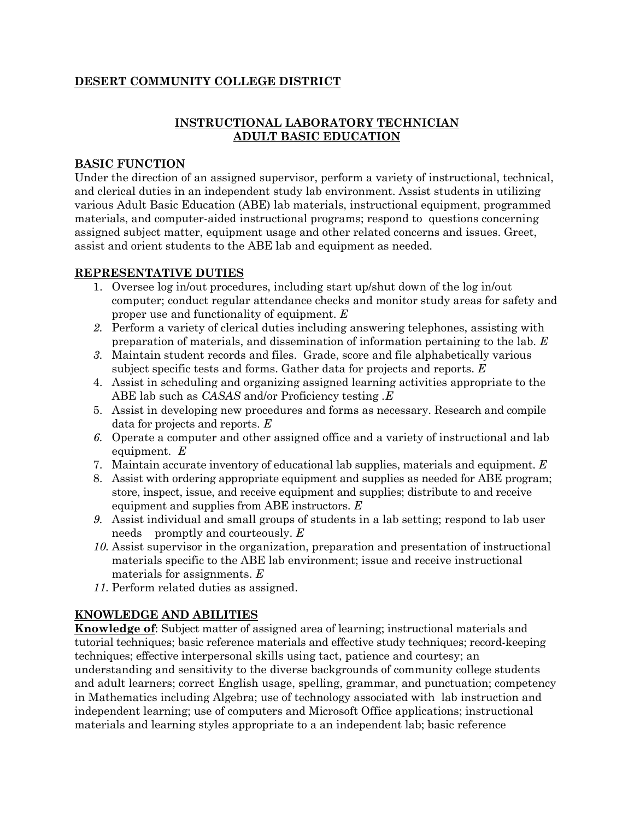## **DESERT COMMUNITY COLLEGE DISTRICT**

## **INSTRUCTIONAL LABORATORY TECHNICIAN ADULT BASIC EDUCATION**

### **BASIC FUNCTION**

Under the direction of an assigned supervisor, perform a variety of instructional, technical, and clerical duties in an independent study lab environment. Assist students in utilizing various Adult Basic Education (ABE) lab materials, instructional equipment, programmed materials, and computer-aided instructional programs; respond to questions concerning assigned subject matter, equipment usage and other related concerns and issues. Greet, assist and orient students to the ABE lab and equipment as needed.

### **REPRESENTATIVE DUTIES**

- 1. Oversee log in/out procedures, including start up/shut down of the log in/out computer; conduct regular attendance checks and monitor study areas for safety and proper use and functionality of equipment. *E*
- *2.* Perform a variety of clerical duties including answering telephones, assisting with preparation of materials, and dissemination of information pertaining to the lab. *E*
- *3.* Maintain student records and files. Grade, score and file alphabetically various subject specific tests and forms. Gather data for projects and reports. *E*
- 4. Assist in scheduling and organizing assigned learning activities appropriate to the ABE lab such as *CASAS* and/or Proficiency testing *.E*
- 5. Assist in developing new procedures and forms as necessary. Research and compile data for projects and reports. *E*
- *6.* Operate a computer and other assigned office and a variety of instructional and lab equipment. *E*
- 7. Maintain accurate inventory of educational lab supplies, materials and equipment. *E*
- 8. Assist with ordering appropriate equipment and supplies as needed for ABE program; store, inspect, issue, and receive equipment and supplies; distribute to and receive equipment and supplies from ABE instructors. *E*
- *9.* Assist individual and small groups of students in a lab setting; respond to lab user needs promptly and courteously. *E*
- *10.* Assist supervisor in the organization, preparation and presentation of instructional materials specific to the ABE lab environment; issue and receive instructional materials for assignments. *E*
- *11.* Perform related duties as assigned.

# **KNOWLEDGE AND ABILITIES**

**Knowledge of**: Subject matter of assigned area of learning; instructional materials and tutorial techniques; basic reference materials and effective study techniques; record-keeping techniques; effective interpersonal skills using tact, patience and courtesy; an understanding and sensitivity to the diverse backgrounds of community college students and adult learners; correct English usage, spelling, grammar, and punctuation; competency in Mathematics including Algebra; use of technology associated with lab instruction and independent learning; use of computers and Microsoft Office applications; instructional materials and learning styles appropriate to a an independent lab; basic reference